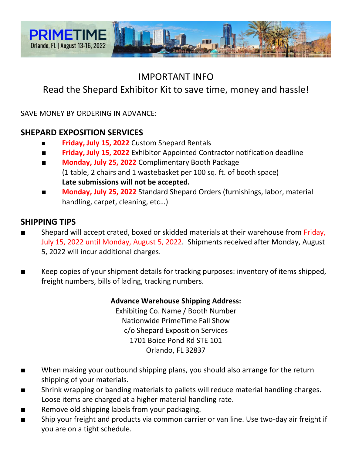

## IMPORTANT INFO

# Read the Shepard Exhibitor Kit to save time, money and hassle!

SAVE MONEY BY ORDERING IN ADVANCE:

### **SHEPARD EXPOSITION SERVICES**

- **Friday, July 15, 2022** Custom Shepard Rentals
- **Friday, July 15, 2022** Exhibitor Appointed Contractor notification deadline
- **Monday, July 25, 2022** Complimentary Booth Package (1 table, 2 chairs and 1 wastebasket per 100 sq. ft. of booth space) **Late submissions will not be accepted.**
- **Monday, July 25, 2022** Standard Shepard Orders (furnishings, labor, material handling, carpet, cleaning, etc…)

### **SHIPPING TIPS**

- Shepard will accept crated, boxed or skidded materials at their warehouse from Friday, July 15, 2022 until Monday, August 5, 2022. Shipments received after Monday, August 5, 2022 will incur additional charges.
- Keep copies of your shipment details for tracking purposes: inventory of items shipped, freight numbers, bills of lading, tracking numbers.

#### **Advance Warehouse Shipping Address:**

Exhibiting Co. Name / Booth Number Nationwide PrimeTime Fall Show c/o Shepard Exposition Services 1701 Boice Pond Rd STE 101 Orlando, FL 32837

- When making your outbound shipping plans, you should also arrange for the return shipping of your materials.
- Shrink wrapping or banding materials to pallets will reduce material handling charges. Loose items are charged at a higher material handling rate.
- Remove old shipping labels from your packaging.
- Ship your freight and products via common carrier or van line. Use two-day air freight if you are on a tight schedule.